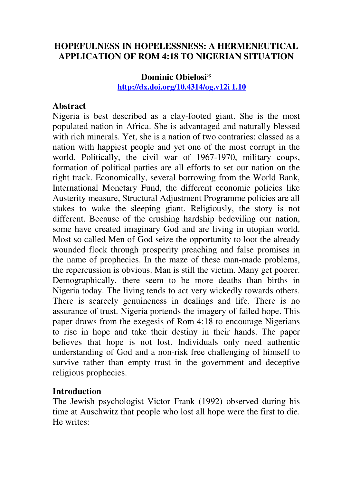# **HOPEFULNESS IN HOPELESSNESS: A HERMENEUTICAL APPLICATION OF ROM 4:18 TO NIGERIAN SITUATION**

### **Dominic Obielosi\* http://dx.doi.org/10.4314/og.v12i 1.10**

#### **Abstract**

Nigeria is best described as a clay-footed giant. She is the most populated nation in Africa. She is advantaged and naturally blessed with rich minerals. Yet, she is a nation of two contraries: classed as a nation with happiest people and yet one of the most corrupt in the world. Politically, the civil war of 1967-1970, military coups, formation of political parties are all efforts to set our nation on the right track. Economically, several borrowing from the World Bank, International Monetary Fund, the different economic policies like Austerity measure, Structural Adjustment Programme policies are all stakes to wake the sleeping giant. Religiously, the story is not different. Because of the crushing hardship bedeviling our nation, some have created imaginary God and are living in utopian world. Most so called Men of God seize the opportunity to loot the already wounded flock through prosperity preaching and false promises in the name of prophecies. In the maze of these man-made problems, the repercussion is obvious. Man is still the victim. Many get poorer. Demographically, there seem to be more deaths than births in Nigeria today. The living tends to act very wickedly towards others. There is scarcely genuineness in dealings and life. There is no assurance of trust. Nigeria portends the imagery of failed hope. This paper draws from the exegesis of Rom 4:18 to encourage Nigerians to rise in hope and take their destiny in their hands. The paper believes that hope is not lost. Individuals only need authentic understanding of God and a non-risk free challenging of himself to survive rather than empty trust in the government and deceptive religious prophecies.

## **Introduction**

The Jewish psychologist Victor Frank (1992) observed during his time at Auschwitz that people who lost all hope were the first to die. He writes: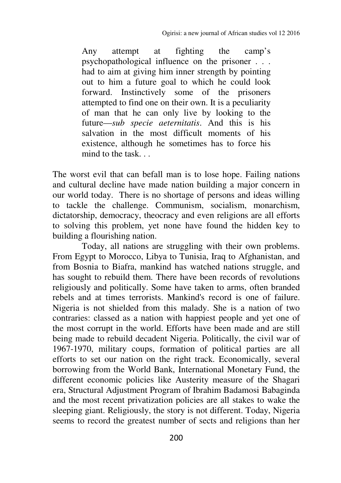Any attempt at fighting the camp's psychopathological influence on the prisoner . . . had to aim at giving him inner strength by pointing out to him a future goal to which he could look forward. Instinctively some of the prisoners attempted to find one on their own. It is a peculiarity of man that he can only live by looking to the future—*sub specie aeternitatis*. And this is his salvation in the most difficult moments of his existence, although he sometimes has to force his mind to the task. . .

The worst evil that can befall man is to lose hope. Failing nations and cultural decline have made nation building a major concern in our world today. There is no shortage of persons and ideas willing to tackle the challenge. Communism, socialism, monarchism, dictatorship, democracy, theocracy and even religions are all efforts to solving this problem, yet none have found the hidden key to building a flourishing nation.

Today, all nations are struggling with their own problems. From Egypt to Morocco, Libya to Tunisia, Iraq to Afghanistan, and from Bosnia to Biafra, mankind has watched nations struggle, and has sought to rebuild them. There have been records of revolutions religiously and politically. Some have taken to arms, often branded rebels and at times terrorists. Mankind's record is one of failure. Nigeria is not shielded from this malady. She is a nation of two contraries: classed as a nation with happiest people and yet one of the most corrupt in the world. Efforts have been made and are still being made to rebuild decadent Nigeria. Politically, the civil war of 1967-1970, military coups, formation of political parties are all efforts to set our nation on the right track. Economically, several borrowing from the World Bank, International Monetary Fund, the different economic policies like Austerity measure of the Shagari era, Structural Adjustment Program of Ibrahim Badamosi Babaginda and the most recent privatization policies are all stakes to wake the sleeping giant. Religiously, the story is not different. Today, Nigeria seems to record the greatest number of sects and religions than her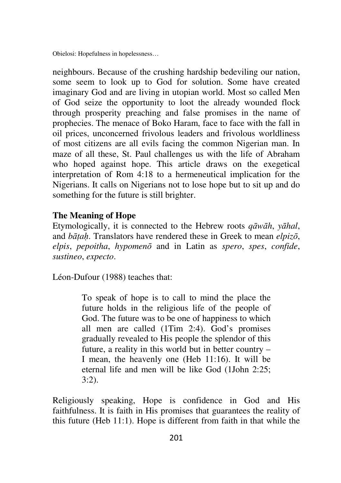neighbours. Because of the crushing hardship bedeviling our nation, some seem to look up to God for solution. Some have created imaginary God and are living in utopian world. Most so called Men of God seize the opportunity to loot the already wounded flock through prosperity preaching and false promises in the name of prophecies. The menace of Boko Haram, face to face with the fall in oil prices, unconcerned frivolous leaders and frivolous worldliness of most citizens are all evils facing the common Nigerian man. In maze of all these, St. Paul challenges us with the life of Abraham who hoped against hope. This article draws on the exegetical interpretation of Rom 4:18 to a hermeneutical implication for the Nigerians. It calls on Nigerians not to lose hope but to sit up and do something for the future is still brighter.

## **The Meaning of Hope**

Etymologically, it is connected to the Hebrew roots *qāwāh*, *yāhal*, and *bāṭaḥ*. Translators have rendered these in Greek to mean *elpizō*, *elpis*, *pepoitha*, *hypomenō* and in Latin as *spero*, *spes*, *confide*, *sustineo*, *expecto*.

Léon-Dufour (1988) teaches that:

To speak of hope is to call to mind the place the future holds in the religious life of the people of God. The future was to be one of happiness to which all men are called (1Tim 2:4). God's promises gradually revealed to His people the splendor of this future, a reality in this world but in better country – I mean, the heavenly one (Heb 11:16). It will be eternal life and men will be like God (1John 2:25; 3:2).

Religiously speaking, Hope is confidence in God and His faithfulness. It is faith in His promises that guarantees the reality of this future (Heb 11:1). Hope is different from faith in that while the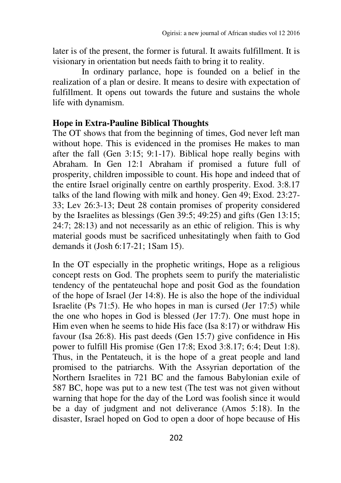later is of the present, the former is futural. It awaits fulfillment. It is visionary in orientation but needs faith to bring it to reality.

In ordinary parlance, hope is founded on a belief in the realization of a plan or desire. It means to desire with expectation of fulfillment. It opens out towards the future and sustains the whole life with dynamism.

#### **Hope in Extra-Pauline Biblical Thoughts**

The OT shows that from the beginning of times, God never left man without hope. This is evidenced in the promises He makes to man after the fall (Gen 3:15; 9:1-17). Biblical hope really begins with Abraham. In Gen 12:1 Abraham if promised a future full of prosperity, children impossible to count. His hope and indeed that of the entire Israel originally centre on earthly prosperity. Exod. 3:8.17 talks of the land flowing with milk and honey. Gen 49; Exod. 23:27- 33; Lev 26:3-13; Deut 28 contain promises of properity considered by the Israelites as blessings (Gen 39:5; 49:25) and gifts (Gen 13:15; 24:7; 28:13) and not necessarily as an ethic of religion. This is why material goods must be sacrificed unhesitatingly when faith to God demands it (Josh 6:17-21; 1Sam 15).

In the OT especially in the prophetic writings, Hope as a religious concept rests on God. The prophets seem to purify the materialistic tendency of the pentateuchal hope and posit God as the foundation of the hope of Israel (Jer 14:8). He is also the hope of the individual Israelite (Ps 71:5). He who hopes in man is cursed (Jer 17:5) while the one who hopes in God is blessed (Jer 17:7). One must hope in Him even when he seems to hide His face (Isa 8:17) or withdraw His favour (Isa 26:8). His past deeds (Gen 15:7) give confidence in His power to fulfill His promise (Gen 17:8; Exod 3:8.17; 6:4; Deut 1:8). Thus, in the Pentateuch, it is the hope of a great people and land promised to the patriarchs. With the Assyrian deportation of the Northern Israelites in 721 BC and the famous Babylonian exile of 587 BC, hope was put to a new test (The test was not given without warning that hope for the day of the Lord was foolish since it would be a day of judgment and not deliverance (Amos 5:18). In the disaster, Israel hoped on God to open a door of hope because of His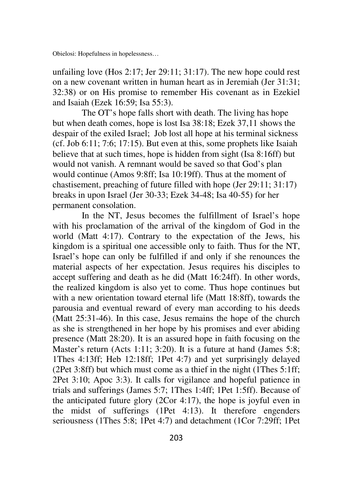unfailing love (Hos 2:17; Jer 29:11; 31:17). The new hope could rest on a new covenant written in human heart as in Jeremiah (Jer 31:31; 32:38) or on His promise to remember His covenant as in Ezekiel and Isaiah (Ezek 16:59; Isa 55:3).

The OT's hope falls short with death. The living has hope but when death comes, hope is lost Isa 38:18; Ezek 37,11 shows the despair of the exiled Israel; Job lost all hope at his terminal sickness (cf. Job 6:11; 7:6; 17:15). But even at this, some prophets like Isaiah believe that at such times, hope is hidden from sight (Isa 8:16ff) but would not vanish. A remnant would be saved so that God's plan would continue (Amos 9:8ff; Isa 10:19ff). Thus at the moment of chastisement, preaching of future filled with hope (Jer 29:11; 31:17) breaks in upon Israel (Jer 30-33; Ezek 34-48; Isa 40-55) for her permanent consolation.

In the NT, Jesus becomes the fulfillment of Israel's hope with his proclamation of the arrival of the kingdom of God in the world (Matt 4:17). Contrary to the expectation of the Jews, his kingdom is a spiritual one accessible only to faith. Thus for the NT, Israel's hope can only be fulfilled if and only if she renounces the material aspects of her expectation. Jesus requires his disciples to accept suffering and death as he did (Matt 16:24ff). In other words, the realized kingdom is also yet to come. Thus hope continues but with a new orientation toward eternal life (Matt 18:8ff), towards the parousia and eventual reward of every man according to his deeds (Matt 25:31-46). In this case, Jesus remains the hope of the church as she is strengthened in her hope by his promises and ever abiding presence (Matt 28:20). It is an assured hope in faith focusing on the Master's return (Acts 1:11; 3:20). It is a future at hand (James 5:8; 1Thes 4:13ff; Heb 12:18ff; 1Pet 4:7) and yet surprisingly delayed (2Pet 3:8ff) but which must come as a thief in the night (1Thes 5:1ff; 2Pet 3:10; Apoc 3:3). It calls for vigilance and hopeful patience in trials and sufferings (James 5:7; 1Thes 1:4ff; 1Pet 1:5ff). Because of the anticipated future glory (2Cor 4:17), the hope is joyful even in the midst of sufferings (1Pet 4:13). It therefore engenders seriousness (1Thes 5:8; 1Pet 4:7) and detachment (1Cor 7:29ff; 1Pet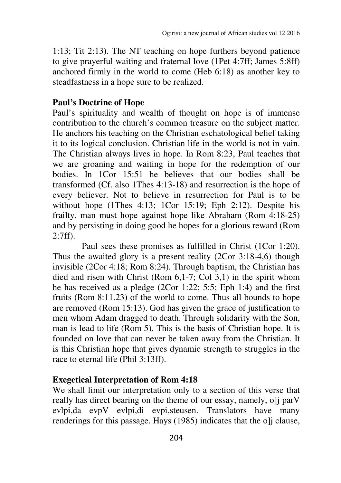1:13; Tit 2:13). The NT teaching on hope furthers beyond patience to give prayerful waiting and fraternal love (1Pet 4:7ff; James 5:8ff) anchored firmly in the world to come (Heb 6:18) as another key to steadfastness in a hope sure to be realized.

## **Paul's Doctrine of Hope**

Paul's spirituality and wealth of thought on hope is of immense contribution to the church's common treasure on the subject matter. He anchors his teaching on the Christian eschatological belief taking it to its logical conclusion. Christian life in the world is not in vain. The Christian always lives in hope. In Rom 8:23, Paul teaches that we are groaning and waiting in hope for the redemption of our bodies. In 1Cor 15:51 he believes that our bodies shall be transformed (Cf. also 1Thes 4:13-18) and resurrection is the hope of every believer. Not to believe in resurrection for Paul is to be without hope (1Thes 4:13; 1Cor 15:19; Eph 2:12). Despite his frailty, man must hope against hope like Abraham (Rom 4:18-25) and by persisting in doing good he hopes for a glorious reward (Rom 2:7ff).

 Paul sees these promises as fulfilled in Christ (1Cor 1:20). Thus the awaited glory is a present reality (2Cor 3:18-4,6) though invisible (2Cor 4:18; Rom 8:24). Through baptism, the Christian has died and risen with Christ (Rom 6,1-7; Col 3,1) in the spirit whom he has received as a pledge (2Cor 1:22; 5:5; Eph 1:4) and the first fruits (Rom 8:11.23) of the world to come. Thus all bounds to hope are removed (Rom 15:13). God has given the grace of justification to men whom Adam dragged to death. Through solidarity with the Son, man is lead to life (Rom 5). This is the basis of Christian hope. It is founded on love that can never be taken away from the Christian. It is this Christian hope that gives dynamic strength to struggles in the race to eternal life (Phil 3:13ff).

# **Exegetical Interpretation of Rom 4:18**

We shall limit our interpretation only to a section of this verse that really has direct bearing on the theme of our essay, namely, o]j parV evlpi,da evpV evlpi,di evpi,steusen. Translators have many renderings for this passage. Hays (1985) indicates that the o]j clause,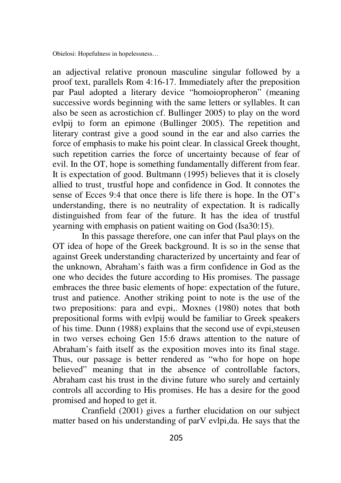an adjectival relative pronoun masculine singular followed by a proof text, parallels Rom 4:16-17. Immediately after the preposition par Paul adopted a literary device "homoiopropheron" (meaning successive words beginning with the same letters or syllables. It can also be seen as acrostichion cf. Bullinger 2005) to play on the word evlpij to form an epimone (Bullinger 2005). The repetition and literary contrast give a good sound in the ear and also carries the force of emphasis to make his point clear. In classical Greek thought, such repetition carries the force of uncertainty because of fear of evil. In the OT, hope is something fundamentally different from fear. It is expectation of good. Bultmann (1995) believes that it is closely allied to trust trustful hope and confidence in God. It connotes the sense of Ecces 9:4 that once there is life there is hope. In the OT's understanding, there is no neutrality of expectation. It is radically distinguished from fear of the future. It has the idea of trustful yearning with emphasis on patient waiting on God (Isa30:15).

 In this passage therefore, one can infer that Paul plays on the OT idea of hope of the Greek background. It is so in the sense that against Greek understanding characterized by uncertainty and fear of the unknown, Abraham's faith was a firm confidence in God as the one who decides the future according to His promises. The passage embraces the three basic elements of hope: expectation of the future, trust and patience. Another striking point to note is the use of the two prepositions: para and evpi,. Moxnes (1980) notes that both prepositional forms with evlpij would be familiar to Greek speakers of his time. Dunn (1988) explains that the second use of evpi,steusen in two verses echoing Gen 15:6 draws attention to the nature of Abraham's faith itself as the exposition moves into its final stage. Thus, our passage is better rendered as "who for hope on hope believed" meaning that in the absence of controllable factors, Abraham cast his trust in the divine future who surely and certainly controls all according to His promises. He has a desire for the good promised and hoped to get it.

Cranfield (2001) gives a further elucidation on our subject matter based on his understanding of parV evlpi,da. He says that the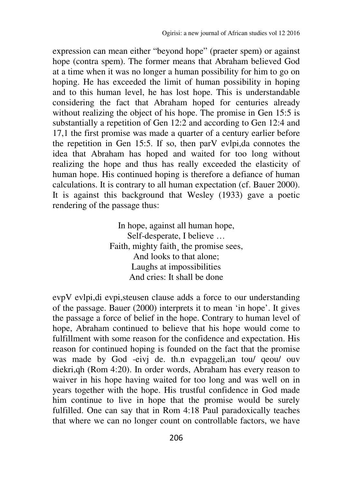expression can mean either "beyond hope" (praeter spem) or against hope (contra spem). The former means that Abraham believed God at a time when it was no longer a human possibility for him to go on hoping. He has exceeded the limit of human possibility in hoping and to this human level, he has lost hope. This is understandable considering the fact that Abraham hoped for centuries already without realizing the object of his hope. The promise in Gen 15:5 is substantially a repetition of Gen 12:2 and according to Gen 12:4 and 17,1 the first promise was made a quarter of a century earlier before the repetition in Gen 15:5. If so, then parV evlpi,da connotes the idea that Abraham has hoped and waited for too long without realizing the hope and thus has really exceeded the elasticity of human hope. His continued hoping is therefore a defiance of human calculations. It is contrary to all human expectation (cf. Bauer 2000). It is against this background that Wesley (1933) gave a poetic rendering of the passage thus:

> In hope, against all human hope, Self-desperate, I believe … Faith, mighty faith, the promise sees, And looks to that alone; Laughs at impossibilities And cries: It shall be done

evpV evlpi,di evpi,steusen clause adds a force to our understanding of the passage. Bauer (2000) interprets it to mean 'in hope'. It gives the passage a force of belief in the hope. Contrary to human level of hope, Abraham continued to believe that his hope would come to fulfillment with some reason for the confidence and expectation. His reason for continued hoping is founded on the fact that the promise was made by God -eivj de. th.n evpaggeli,an tou/ qeou/ ouv diekri,qh (Rom 4:20). In order words, Abraham has every reason to waiver in his hope having waited for too long and was well on in years together with the hope. His trustful confidence in God made him continue to live in hope that the promise would be surely fulfilled. One can say that in Rom 4:18 Paul paradoxically teaches that where we can no longer count on controllable factors, we have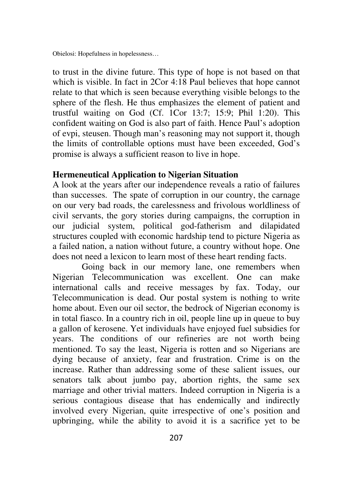to trust in the divine future. This type of hope is not based on that which is visible. In fact in 2Cor 4:18 Paul believes that hope cannot relate to that which is seen because everything visible belongs to the sphere of the flesh. He thus emphasizes the element of patient and trustful waiting on God (Cf. 1Cor 13:7; 15:9; Phil 1:20). This confident waiting on God is also part of faith. Hence Paul's adoption of evpi, steusen. Though man's reasoning may not support it, though the limits of controllable options must have been exceeded, God's promise is always a sufficient reason to live in hope.

## **Hermeneutical Application to Nigerian Situation**

A look at the years after our independence reveals a ratio of failures than successes. The spate of corruption in our country, the carnage on our very bad roads, the carelessness and frivolous worldliness of civil servants, the gory stories during campaigns, the corruption in our judicial system, political god-fatherism and dilapidated structures coupled with economic hardship tend to picture Nigeria as a failed nation, a nation without future, a country without hope. One does not need a lexicon to learn most of these heart rending facts.

Going back in our memory lane, one remembers when Nigerian Telecommunication was excellent. One can make international calls and receive messages by fax. Today, our Telecommunication is dead. Our postal system is nothing to write home about. Even our oil sector, the bedrock of Nigerian economy is in total fiasco. In a country rich in oil, people line up in queue to buy a gallon of kerosene. Yet individuals have enjoyed fuel subsidies for years. The conditions of our refineries are not worth being mentioned. To say the least, Nigeria is rotten and so Nigerians are dying because of anxiety, fear and frustration. Crime is on the increase. Rather than addressing some of these salient issues, our senators talk about jumbo pay, abortion rights, the same sex marriage and other trivial matters. Indeed corruption in Nigeria is a serious contagious disease that has endemically and indirectly involved every Nigerian, quite irrespective of one's position and upbringing, while the ability to avoid it is a sacrifice yet to be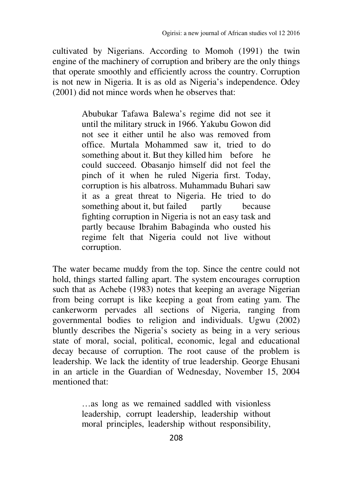cultivated by Nigerians. According to Momoh (1991) the twin engine of the machinery of corruption and bribery are the only things that operate smoothly and efficiently across the country. Corruption is not new in Nigeria. It is as old as Nigeria's independence. Odey (2001) did not mince words when he observes that:

> Abubukar Tafawa Balewa's regime did not see it until the military struck in 1966. Yakubu Gowon did not see it either until he also was removed from office. Murtala Mohammed saw it, tried to do something about it. But they killed him before he could succeed. Obasanjo himself did not feel the pinch of it when he ruled Nigeria first. Today, corruption is his albatross. Muhammadu Buhari saw it as a great threat to Nigeria. He tried to do something about it, but failed partly because fighting corruption in Nigeria is not an easy task and partly because Ibrahim Babaginda who ousted his regime felt that Nigeria could not live without corruption.

The water became muddy from the top. Since the centre could not hold, things started falling apart. The system encourages corruption such that as Achebe (1983) notes that keeping an average Nigerian from being corrupt is like keeping a goat from eating yam. The cankerworm pervades all sections of Nigeria, ranging from governmental bodies to religion and individuals. Ugwu (2002) bluntly describes the Nigeria's society as being in a very serious state of moral, social, political, economic, legal and educational decay because of corruption. The root cause of the problem is leadership. We lack the identity of true leadership. George Ehusani in an article in the Guardian of Wednesday, November 15, 2004 mentioned that:

> …as long as we remained saddled with visionless leadership, corrupt leadership, leadership without moral principles, leadership without responsibility,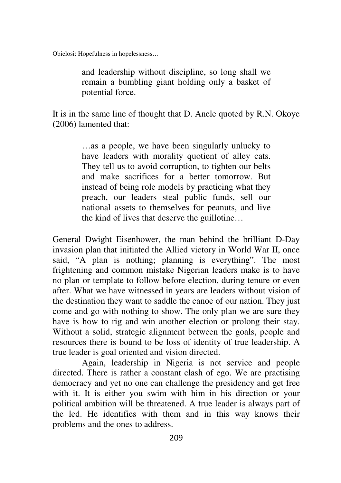and leadership without discipline, so long shall we remain a bumbling giant holding only a basket of potential force.

It is in the same line of thought that D. Anele quoted by R.N. Okoye (2006) lamented that:

> …as a people, we have been singularly unlucky to have leaders with morality quotient of alley cats. They tell us to avoid corruption, to tighten our belts and make sacrifices for a better tomorrow. But instead of being role models by practicing what they preach, our leaders steal public funds, sell our national assets to themselves for peanuts, and live the kind of lives that deserve the guillotine…

General Dwight Eisenhower, the man behind the brilliant D-Day invasion plan that initiated the Allied victory in World War II, once said, "A plan is nothing; planning is everything". The most frightening and common mistake Nigerian leaders make is to have no plan or template to follow before election, during tenure or even after. What we have witnessed in years are leaders without vision of the destination they want to saddle the canoe of our nation. They just come and go with nothing to show. The only plan we are sure they have is how to rig and win another election or prolong their stay. Without a solid, strategic alignment between the goals, people and resources there is bound to be loss of identity of true leadership. A true leader is goal oriented and vision directed.

Again, leadership in Nigeria is not service and people directed. There is rather a constant clash of ego. We are practising democracy and yet no one can challenge the presidency and get free with it. It is either you swim with him in his direction or your political ambition will be threatened. A true leader is always part of the led. He identifies with them and in this way knows their problems and the ones to address.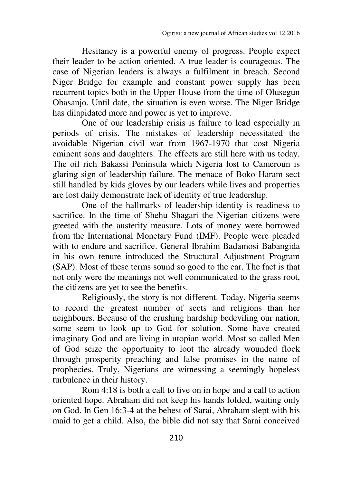Hesitancy is a powerful enemy of progress. People expect their leader to be action oriented. A true leader is courageous. The case of Nigerian leaders is always a fulfilment in breach. Second Niger Bridge for example and constant power supply has been recurrent topics both in the Upper House from the time of Olusegun Obasanjo. Until date, the situation is even worse. The Niger Bridge has dilapidated more and power is yet to improve.

One of our leadership crisis is failure to lead especially in periods of crisis. The mistakes of leadership necessitated the avoidable Nigerian civil war from 1967-1970 that cost Nigeria eminent sons and daughters. The effects are still here with us today. The oil rich Bakassi Peninsula which Nigeria lost to Cameroun is glaring sign of leadership failure. The menace of Boko Haram sect still handled by kids gloves by our leaders while lives and properties are lost daily demonstrate lack of identity of true leadership.

One of the hallmarks of leadership identity is readiness to sacrifice. In the time of Shehu Shagari the Nigerian citizens were greeted with the austerity measure. Lots of money were borrowed from the International Monetary Fund (IMF). People were pleaded with to endure and sacrifice. General Ibrahim Badamosi Babangida in his own tenure introduced the Structural Adjustment Program (SAP). Most of these terms sound so good to the ear. The fact is that not only were the meanings not well communicated to the grass root, the citizens are yet to see the benefits.

Religiously, the story is not different. Today, Nigeria seems to record the greatest number of sects and religions than her neighbours. Because of the crushing hardship bedeviling our nation, some seem to look up to God for solution. Some have created imaginary God and are living in utopian world. Most so called Men of God seize the opportunity to loot the already wounded flock through prosperity preaching and false promises in the name of prophecies. Truly, Nigerians are witnessing a seemingly hopeless turbulence in their history.

Rom 4:18 is both a call to live on in hope and a call to action oriented hope. Abraham did not keep his hands folded, waiting only on God. In Gen 16:3-4 at the behest of Sarai, Abraham slept with his maid to get a child. Also, the bible did not say that Sarai conceived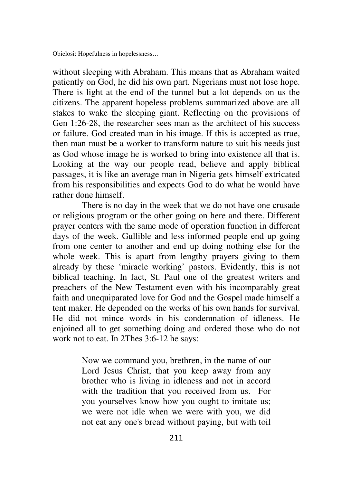without sleeping with Abraham. This means that as Abraham waited patiently on God, he did his own part. Nigerians must not lose hope. There is light at the end of the tunnel but a lot depends on us the citizens. The apparent hopeless problems summarized above are all stakes to wake the sleeping giant. Reflecting on the provisions of Gen 1:26-28, the researcher sees man as the architect of his success or failure. God created man in his image. If this is accepted as true, then man must be a worker to transform nature to suit his needs just as God whose image he is worked to bring into existence all that is. Looking at the way our people read, believe and apply biblical passages, it is like an average man in Nigeria gets himself extricated from his responsibilities and expects God to do what he would have rather done himself.

There is no day in the week that we do not have one crusade or religious program or the other going on here and there. Different prayer centers with the same mode of operation function in different days of the week. Gullible and less informed people end up going from one center to another and end up doing nothing else for the whole week. This is apart from lengthy prayers giving to them already by these 'miracle working' pastors. Evidently, this is not biblical teaching. In fact, St. Paul one of the greatest writers and preachers of the New Testament even with his incomparably great faith and unequiparated love for God and the Gospel made himself a tent maker. He depended on the works of his own hands for survival. He did not mince words in his condemnation of idleness. He enjoined all to get something doing and ordered those who do not work not to eat. In 2Thes 3:6-12 he says:

> Now we command you, brethren, in the name of our Lord Jesus Christ, that you keep away from any brother who is living in idleness and not in accord with the tradition that you received from us. For you yourselves know how you ought to imitate us; we were not idle when we were with you, we did not eat any one's bread without paying, but with toil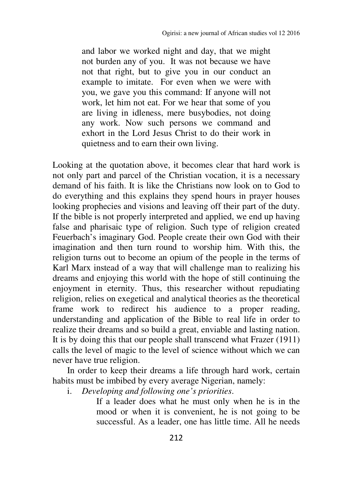and labor we worked night and day, that we might not burden any of you. It was not because we have not that right, but to give you in our conduct an example to imitate. For even when we were with you, we gave you this command: If anyone will not work, let him not eat. For we hear that some of you are living in idleness, mere busybodies, not doing any work. Now such persons we command and exhort in the Lord Jesus Christ to do their work in quietness and to earn their own living.

Looking at the quotation above, it becomes clear that hard work is not only part and parcel of the Christian vocation, it is a necessary demand of his faith. It is like the Christians now look on to God to do everything and this explains they spend hours in prayer houses looking prophecies and visions and leaving off their part of the duty. If the bible is not properly interpreted and applied, we end up having false and pharisaic type of religion. Such type of religion created Feuerbach's imaginary God. People create their own God with their imagination and then turn round to worship him. With this, the religion turns out to become an opium of the people in the terms of Karl Marx instead of a way that will challenge man to realizing his dreams and enjoying this world with the hope of still continuing the enjoyment in eternity. Thus, this researcher without repudiating religion, relies on exegetical and analytical theories as the theoretical frame work to redirect his audience to a proper reading, understanding and application of the Bible to real life in order to realize their dreams and so build a great, enviable and lasting nation. It is by doing this that our people shall transcend what Frazer (1911) calls the level of magic to the level of science without which we can never have true religion.

In order to keep their dreams a life through hard work, certain habits must be imbibed by every average Nigerian, namely:

i. *Developing and following one's priorities*.

If a leader does what he must only when he is in the mood or when it is convenient, he is not going to be successful. As a leader, one has little time. All he needs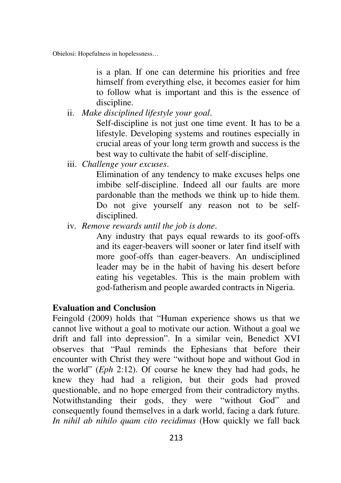is a plan. If one can determine his priorities and free himself from everything else, it becomes easier for him to follow what is important and this is the essence of discipline.

ii. *Make disciplined lifestyle your goal*.

Self-discipline is not just one time event. It has to be a lifestyle. Developing systems and routines especially in crucial areas of your long term growth and success is the best way to cultivate the habit of self-discipline.

iii. *Challenge your excuses*.

Elimination of any tendency to make excuses helps one imbibe self-discipline. Indeed all our faults are more pardonable than the methods we think up to hide them. Do not give yourself any reason not to be selfdisciplined.

iv. *Remove rewards until the job is done*.

Any industry that pays equal rewards to its goof-offs and its eager-beavers will sooner or later find itself with more goof-offs than eager-beavers. An undisciplined leader may be in the habit of having his desert before eating his vegetables. This is the main problem with god-fatherism and people awarded contracts in Nigeria.

#### **Evaluation and Conclusion**

Feingold (2009) holds that "Human experience shows us that we cannot live without a goal to motivate our action. Without a goal we drift and fall into depression". In a similar vein, Benedict XVI observes that "Paul reminds the Ephesians that before their encounter with Christ they were "without hope and without God in the world" (*Eph* 2:12). Of course he knew they had had gods, he knew they had had a religion, but their gods had proved questionable, and no hope emerged from their contradictory myths. Notwithstanding their gods, they were "without God" and consequently found themselves in a dark world, facing a dark future. *In nihil ab nihilo quam cito recidimus* (How quickly we fall back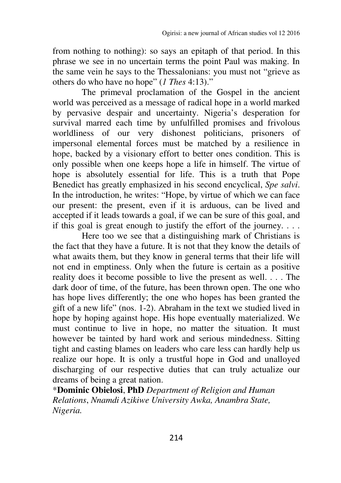from nothing to nothing): so says an epitaph of that period. In this phrase we see in no uncertain terms the point Paul was making. In the same vein he says to the Thessalonians: you must not "grieve as others do who have no hope" (*1 Thes* 4:13)."

 The primeval proclamation of the Gospel in the ancient world was perceived as a message of radical hope in a world marked by pervasive despair and uncertainty. Nigeria's desperation for survival marred each time by unfulfilled promises and frivolous worldliness of our very dishonest politicians, prisoners of impersonal elemental forces must be matched by a resilience in hope, backed by a visionary effort to better ones condition. This is only possible when one keeps hope a life in himself. The virtue of hope is absolutely essential for life. This is a truth that Pope Benedict has greatly emphasized in his second encyclical, *Spe salvi*. In the introduction, he writes: "Hope, by virtue of which we can face our present: the present, even if it is arduous, can be lived and accepted if it leads towards a goal, if we can be sure of this goal, and if this goal is great enough to justify the effort of the journey. . . .

 Here too we see that a distinguishing mark of Christians is the fact that they have a future. It is not that they know the details of what awaits them, but they know in general terms that their life will not end in emptiness. Only when the future is certain as a positive reality does it become possible to live the present as well. . . . The dark door of time, of the future, has been thrown open. The one who has hope lives differently; the one who hopes has been granted the gift of a new life" (nos. 1-2). Abraham in the text we studied lived in hope by hoping against hope. His hope eventually materialized. We must continue to live in hope, no matter the situation. It must however be tainted by hard work and serious mindedness. Sitting tight and casting blames on leaders who care less can hardly help us realize our hope. It is only a trustful hope in God and unalloyed discharging of our respective duties that can truly actualize our dreams of being a great nation.

\***Dominic Obielosi**, **PhD** *Department of Religion and Human Relations*, *Nnamdi Azikiwe University Awka, Anambra State, Nigeria.*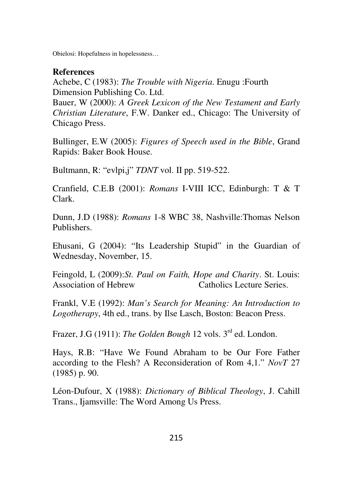### **References**

Achebe, C (1983): *The Trouble with Nigeria*. Enugu :Fourth Dimension Publishing Co. Ltd.

Bauer, W (2000): *A Greek Lexicon of the New Testament and Early Christian Literature*, F.W. Danker ed., Chicago: The University of Chicago Press.

Bullinger, E.W (2005): *Figures of Speech used in the Bible*, Grand Rapids: Baker Book House.

Bultmann, R: "evlpi,j" *TDNT* vol. II pp. 519-522.

Cranfield, C.E.B (2001): *Romans* I-VIII ICC, Edinburgh: T & T Clark.

Dunn, J.D (1988): *Romans* 1-8 WBC 38, Nashville:Thomas Nelson Publishers.

Ehusani, G (2004): "Its Leadership Stupid" in the Guardian of Wednesday, November, 15.

Feingold, L (2009):*St. Paul on Faith, Hope and Charity*. St. Louis: Association of Hebrew Catholics Lecture Series.

Frankl, V.E (1992): *Man's Search for Meaning: An Introduction to Logotherapy*, 4th ed., trans. by Ilse Lasch, Boston: Beacon Press.

Frazer, J.G (1911): *The Golden Bough* 12 vols. 3<sup>rd</sup> ed. London.

Hays, R.B: "Have We Found Abraham to be Our Fore Father according to the Flesh? A Reconsideration of Rom 4,1." *NovT* 27 (1985) p. 90.

Léon-Dufour, X (1988): *Dictionary of Biblical Theology*, J. Cahill Trans., Ijamsville: The Word Among Us Press.